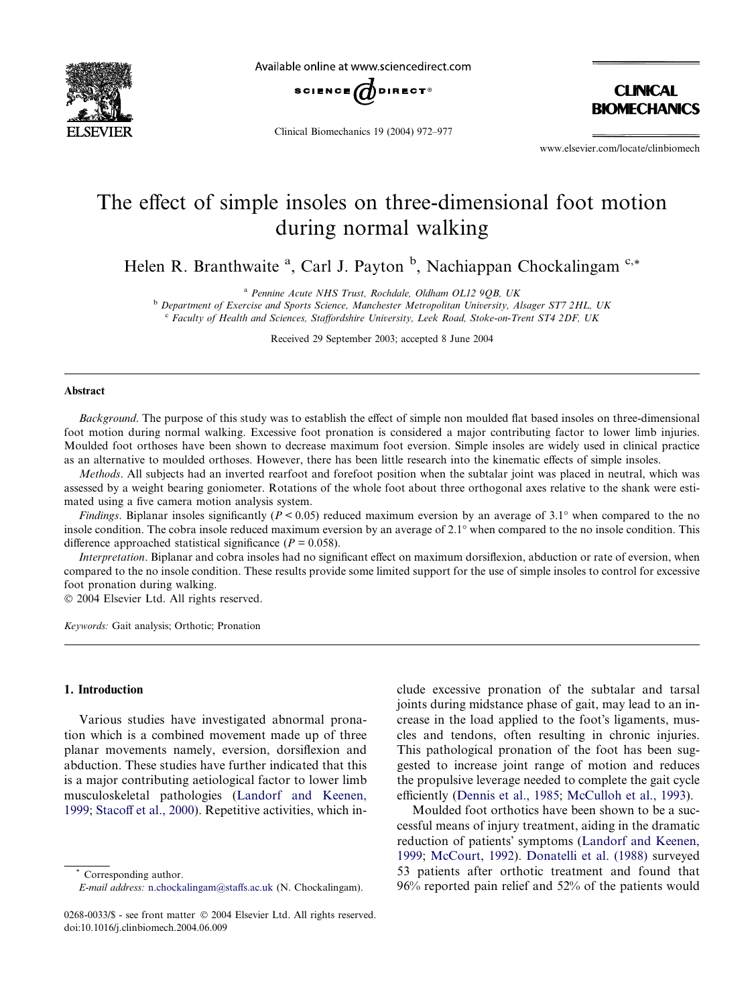

Available online at www.sciencedirect.com



Clinical Biomechanics 19 (2004) 972–977

**CINICAL BIOMECHANICS** 

www.elsevier.com/locate/clinbiomech

# The effect of simple insoles on three-dimensional foot motion during normal walking

Helen R. Branthwaite <sup>a</sup>, Carl J. Payton <sup>b</sup>, Nachiappan Chockalingam <sup>c,\*</sup>

<sup>a</sup> Pennine Acute NHS Trust, Rochdale, Oldham OL12 9QB, UK

<sup>b</sup> Department of Exercise and Sports Science, Manchester Metropolitan University, Alsager ST7 2HL, UK <sup>c</sup> Faculty of Health and Sciences, Staffordshire University, Leek Road, Stoke-on-Trent ST4 2DF, UK

Received 29 September 2003; accepted 8 June 2004

#### Abstract

Background. The purpose of this study was to establish the effect of simple non moulded flat based insoles on three-dimensional foot motion during normal walking. Excessive foot pronation is considered a major contributing factor to lower limb injuries. Moulded foot orthoses have been shown to decrease maximum foot eversion. Simple insoles are widely used in clinical practice as an alternative to moulded orthoses. However, there has been little research into the kinematic effects of simple insoles.

Methods. All subjects had an inverted rearfoot and forefoot position when the subtalar joint was placed in neutral, which was assessed by a weight bearing goniometer. Rotations of the whole foot about three orthogonal axes relative to the shank were estimated using a five camera motion analysis system.

Findings. Biplanar insoles significantly ( $P < 0.05$ ) reduced maximum eversion by an average of 3.1° when compared to the no insole condition. The cobra insole reduced maximum eversion by an average of 2.1<sup>o</sup> when compared to the no insole condition. This difference approached statistical significance ( $P = 0.058$ ).

Interpretation. Biplanar and cobra insoles had no significant effect on maximum dorsiflexion, abduction or rate of eversion, when compared to the no insole condition. These results provide some limited support for the use of simple insoles to control for excessive foot pronation during walking.

 $© 2004 Elsevier Ltd. All rights reserved.$ 

Keywords: Gait analysis; Orthotic; Pronation

## 1. Introduction

Various studies have investigated abnormal pronation which is a combined movement made up of three planar movements namely, eversion, dorsiflexion and abduction. These studies have further indicated that this is a major contributing aetiological factor to lower limb musculoskeletal pathologies ([Landorf and Keenen,](#page-5-0) [1999;](#page-5-0) [Stacoff et al., 2000](#page-5-0)). Repetitive activities, which in-

Corresponding author.

clude excessive pronation of the subtalar and tarsal joints during midstance phase of gait, may lead to an increase in the load applied to the foot's ligaments, muscles and tendons, often resulting in chronic injuries. This pathological pronation of the foot has been suggested to increase joint range of motion and reduces the propulsive leverage needed to complete the gait cycle efficiently ([Dennis et al., 1985;](#page-5-0) [McCulloh et al., 1993\)](#page-5-0).

Moulded foot orthotics have been shown to be a successful means of injury treatment, aiding in the dramatic reduction of patients' symptoms [\(Landorf and Keenen,](#page-5-0) [1999;](#page-5-0) [McCourt, 1992](#page-5-0)). [Donatelli et al. \(1988\)](#page-5-0) surveyed 53 patients after orthotic treatment and found that 96% reported pain relief and 52% of the patients would

E-mail address: [n.chockalingam@staffs.ac.uk](mailto:n.chockalingam@staffs.ac.uk ) (N. Chockalingam).

<sup>0268-0033/\$ -</sup> see front matter © 2004 Elsevier Ltd. All rights reserved. doi:10.1016/j.clinbiomech.2004.06.009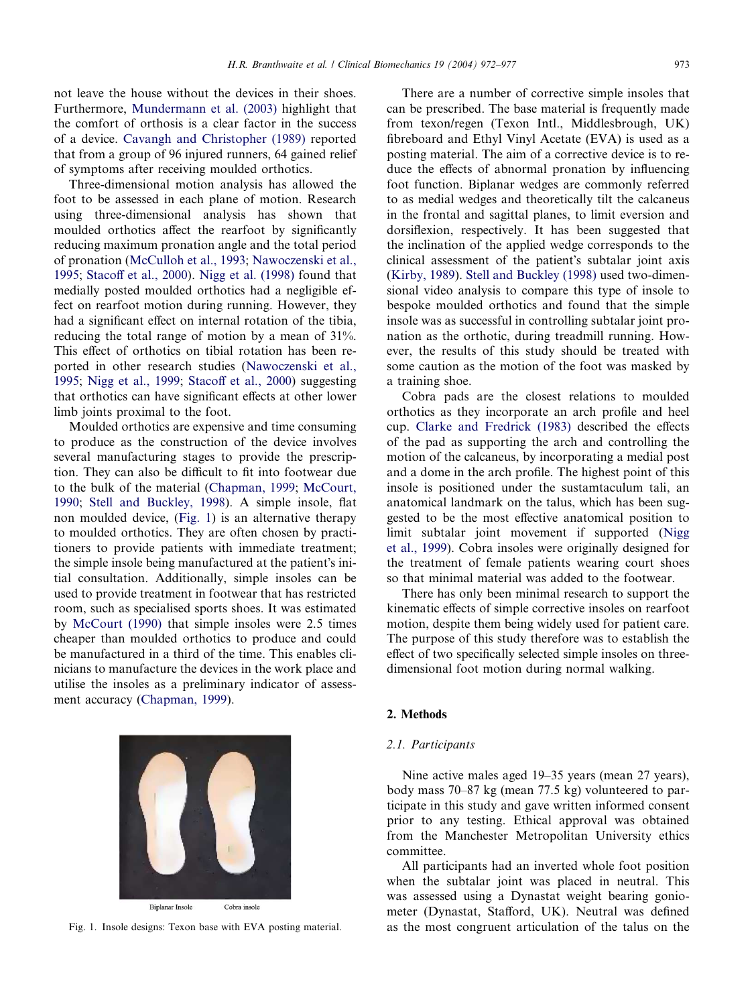<span id="page-1-0"></span>not leave the house without the devices in their shoes. Furthermore, [Mundermann et al. \(2003\)](#page-5-0) highlight that the comfort of orthosis is a clear factor in the success of a device. [Cavangh and Christopher \(1989\)](#page-5-0) reported that from a group of 96 injured runners, 64 gained relief of symptoms after receiving moulded orthotics.

Three-dimensional motion analysis has allowed the foot to be assessed in each plane of motion. Research using three-dimensional analysis has shown that moulded orthotics affect the rearfoot by significantly reducing maximum pronation angle and the total period of pronation [\(McCulloh et al., 1993;](#page-5-0) [Nawoczenski et al.,](#page-5-0) [1995](#page-5-0); [Stacoff et al., 2000](#page-5-0)). [Nigg et al. \(1998\)](#page-5-0) found that medially posted moulded orthotics had a negligible effect on rearfoot motion during running. However, they had a significant effect on internal rotation of the tibia, reducing the total range of motion by a mean of 31%. This effect of orthotics on tibial rotation has been reported in other research studies [\(Nawoczenski et al.,](#page-5-0) [1995](#page-5-0); [Nigg et al., 1999](#page-5-0); [Stacoff et al., 2000](#page-5-0)) suggesting that orthotics can have significant effects at other lower limb joints proximal to the foot.

Moulded orthotics are expensive and time consuming to produce as the construction of the device involves several manufacturing stages to provide the prescription. They can also be difficult to fit into footwear due to the bulk of the material [\(Chapman, 1999](#page-5-0); [McCourt,](#page-5-0) [1990](#page-5-0); [Stell and Buckley, 1998\)](#page-5-0). A simple insole, flat non moulded device, (Fig. 1) is an alternative therapy to moulded orthotics. They are often chosen by practitioners to provide patients with immediate treatment; the simple insole being manufactured at the patient's initial consultation. Additionally, simple insoles can be used to provide treatment in footwear that has restricted room, such as specialised sports shoes. It was estimated by [McCourt \(1990\)](#page-5-0) that simple insoles were 2.5 times cheaper than moulded orthotics to produce and could be manufactured in a third of the time. This enables clinicians to manufacture the devices in the work place and utilise the insoles as a preliminary indicator of assessment accuracy [\(Chapman, 1999](#page-5-0)).

There are a number of corrective simple insoles that can be prescribed. The base material is frequently made from texon/regen (Texon Intl., Middlesbrough, UK) fibreboard and Ethyl Vinyl Acetate (EVA) is used as a posting material. The aim of a corrective device is to reduce the effects of abnormal pronation by influencing foot function. Biplanar wedges are commonly referred to as medial wedges and theoretically tilt the calcaneus in the frontal and sagittal planes, to limit eversion and dorsiflexion, respectively. It has been suggested that the inclination of the applied wedge corresponds to the clinical assessment of the patient's subtalar joint axis ([Kirby, 1989](#page-5-0)). [Stell and Buckley \(1998\)](#page-5-0) used two-dimensional video analysis to compare this type of insole to bespoke moulded orthotics and found that the simple insole was as successful in controlling subtalar joint pronation as the orthotic, during treadmill running. However, the results of this study should be treated with some caution as the motion of the foot was masked by

Cobra pads are the closest relations to moulded orthotics as they incorporate an arch profile and heel cup. [Clarke and Fredrick \(1983\)](#page-5-0) described the effects of the pad as supporting the arch and controlling the motion of the calcaneus, by incorporating a medial post and a dome in the arch profile. The highest point of this insole is positioned under the sustamtaculum tali, an anatomical landmark on the talus, which has been suggested to be the most effective anatomical position to limit subtalar joint movement if supported ([Nigg](#page-5-0) [et al., 1999](#page-5-0)). Cobra insoles were originally designed for the treatment of female patients wearing court shoes so that minimal material was added to the footwear.

There has only been minimal research to support the kinematic effects of simple corrective insoles on rearfoot motion, despite them being widely used for patient care. The purpose of this study therefore was to establish the effect of two specifically selected simple insoles on threedimensional foot motion during normal walking.

#### 2. Methods

#### 2.1. Participants

a training shoe.

Nine active males aged 19–35 years (mean 27 years), body mass 70–87 kg (mean 77.5 kg) volunteered to participate in this study and gave written informed consent prior to any testing. Ethical approval was obtained from the Manchester Metropolitan University ethics committee.

All participants had an inverted whole foot position when the subtalar joint was placed in neutral. This was assessed using a Dynastat weight bearing goniometer (Dynastat, Stafford, UK). Neutral was defined Fig. 1. Insole designs: Texon base with EVA posting material. as the most congruent articulation of the talus on the



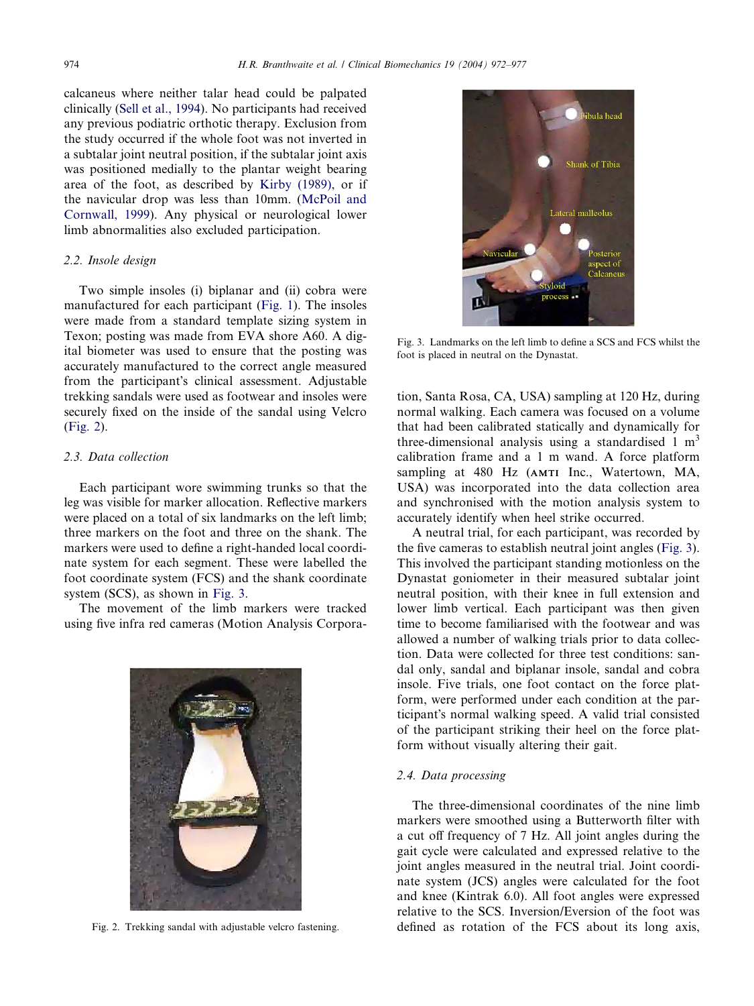calcaneus where neither talar head could be palpated clinically [\(Sell et al., 1994](#page-5-0)). No participants had received any previous podiatric orthotic therapy. Exclusion from the study occurred if the whole foot was not inverted in a subtalar joint neutral position, if the subtalar joint axis was positioned medially to the plantar weight bearing area of the foot, as described by [Kirby \(1989\),](#page-5-0) or if the navicular drop was less than 10mm. [\(McPoil and](#page-5-0) [Cornwall, 1999](#page-5-0)). Any physical or neurological lower limb abnormalities also excluded participation.

#### 2.2. Insole design

Two simple insoles (i) biplanar and (ii) cobra were manufactured for each participant [\(Fig. 1\)](#page-1-0). The insoles were made from a standard template sizing system in Texon; posting was made from EVA shore A60. A digital biometer was used to ensure that the posting was accurately manufactured to the correct angle measured from the participant's clinical assessment. Adjustable trekking sandals were used as footwear and insoles were securely fixed on the inside of the sandal using Velcro (Fig. 2).

## 2.3. Data collection

Each participant wore swimming trunks so that the leg was visible for marker allocation. Reflective markers were placed on a total of six landmarks on the left limb; three markers on the foot and three on the shank. The markers were used to define a right-handed local coordinate system for each segment. These were labelled the foot coordinate system (FCS) and the shank coordinate system (SCS), as shown in Fig. 3.

The movement of the limb markers were tracked using five infra red cameras (Motion Analysis Corpora-





Fig. 3. Landmarks on the left limb to define a SCS and FCS whilst the foot is placed in neutral on the Dynastat.

tion, Santa Rosa, CA, USA) sampling at 120 Hz, during normal walking. Each camera was focused on a volume that had been calibrated statically and dynamically for three-dimensional analysis using a standardised 1  $m<sup>3</sup>$ calibration frame and a 1 m wand. A force platform sampling at 480 Hz (AMTI Inc., Watertown, MA, USA) was incorporated into the data collection area and synchronised with the motion analysis system to accurately identify when heel strike occurred.

A neutral trial, for each participant, was recorded by the five cameras to establish neutral joint angles (Fig. 3). This involved the participant standing motionless on the Dynastat goniometer in their measured subtalar joint neutral position, with their knee in full extension and lower limb vertical. Each participant was then given time to become familiarised with the footwear and was allowed a number of walking trials prior to data collection. Data were collected for three test conditions: sandal only, sandal and biplanar insole, sandal and cobra insole. Five trials, one foot contact on the force platform, were performed under each condition at the participant's normal walking speed. A valid trial consisted of the participant striking their heel on the force platform without visually altering their gait.

# 2.4. Data processing

The three-dimensional coordinates of the nine limb markers were smoothed using a Butterworth filter with a cut off frequency of 7 Hz. All joint angles during the gait cycle were calculated and expressed relative to the joint angles measured in the neutral trial. Joint coordinate system (JCS) angles were calculated for the foot and knee (Kintrak 6.0). All foot angles were expressed relative to the SCS. Inversion/Eversion of the foot was Fig. 2. Trekking sandal with adjustable velcro fastening. defined as rotation of the FCS about its long axis,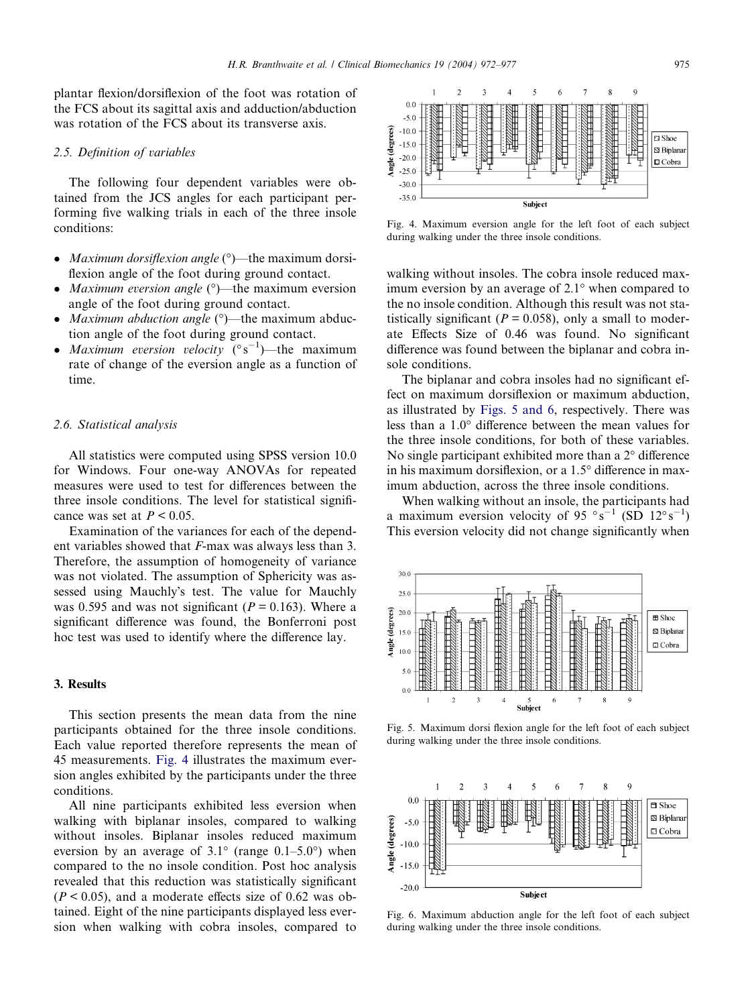plantar flexion/dorsiflexion of the foot was rotation of the FCS about its sagittal axis and adduction/abduction was rotation of the FCS about its transverse axis.

## 2.5. Definition of variables

The following four dependent variables were obtained from the JCS angles for each participant performing five walking trials in each of the three insole conditions:

- Maximum dorsiflexion angle  $(°)$ —the maximum dorsiflexion angle of the foot during ground contact.
- *Maximum eversion angle*  $(\degree)$ —the maximum eversion angle of the foot during ground contact.
- Maximum abduction angle  $(°)$ —the maximum abduction angle of the foot during ground contact.
- Maximum eversion velocity  $({}^{\circ}S^{-1})$ —the maximum rate of change of the eversion angle as a function of time.

#### 2.6. Statistical analysis

All statistics were computed using SPSS version 10.0 for Windows. Four one-way ANOVAs for repeated measures were used to test for differences between the three insole conditions. The level for statistical significance was set at  $P < 0.05$ .

Examination of the variances for each of the dependent variables showed that F-max was always less than 3. Therefore, the assumption of homogeneity of variance was not violated. The assumption of Sphericity was assessed using Mauchly's test. The value for Mauchly was 0.595 and was not significant ( $P = 0.163$ ). Where a significant difference was found, the Bonferroni post hoc test was used to identify where the difference lay.

## 3. Results

This section presents the mean data from the nine participants obtained for the three insole conditions. Each value reported therefore represents the mean of 45 measurements. Fig. 4 illustrates the maximum eversion angles exhibited by the participants under the three conditions.

All nine participants exhibited less eversion when walking with biplanar insoles, compared to walking without insoles. Biplanar insoles reduced maximum eversion by an average of  $3.1^{\circ}$  (range  $0.1-5.0^{\circ}$ ) when compared to the no insole condition. Post hoc analysis revealed that this reduction was statistically significant  $(P < 0.05)$ , and a moderate effects size of 0.62 was obtained. Eight of the nine participants displayed less eversion when walking with cobra insoles, compared to



Fig. 4. Maximum eversion angle for the left foot of each subject during walking under the three insole conditions.

walking without insoles. The cobra insole reduced maximum eversion by an average of  $2.1^\circ$  when compared to the no insole condition. Although this result was not statistically significant ( $P = 0.058$ ), only a small to moderate Effects Size of 0.46 was found. No significant difference was found between the biplanar and cobra insole conditions.

The biplanar and cobra insoles had no significant effect on maximum dorsiflexion or maximum abduction, as illustrated by Figs. 5 and 6, respectively. There was less than a  $1.0^{\circ}$  difference between the mean values for the three insole conditions, for both of these variables. No single participant exhibited more than a  $2^{\circ}$  difference in his maximum dorsiflexion, or a  $1.5^{\circ}$  difference in maximum abduction, across the three insole conditions.

When walking without an insole, the participants had a maximum eversion velocity of 95  $\degree s^{-1}$  (SD 12 $\degree s^{-1}$ ) This eversion velocity did not change significantly when



Fig. 5. Maximum dorsi flexion angle for the left foot of each subject during walking under the three insole conditions.



Fig. 6. Maximum abduction angle for the left foot of each subject during walking under the three insole conditions.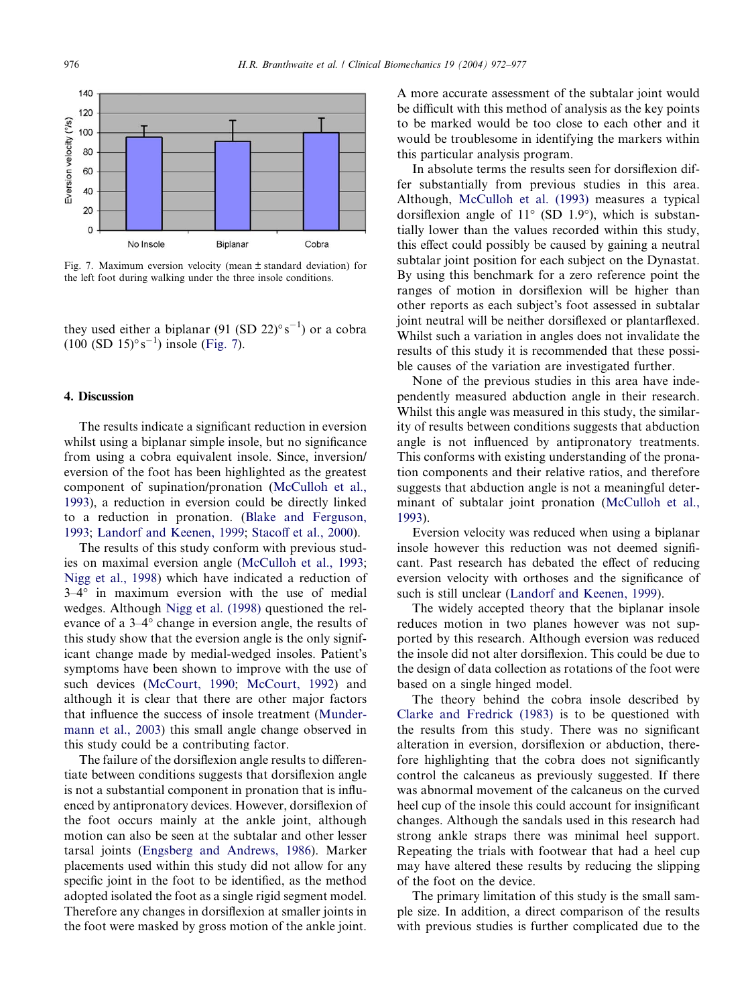

Fig. 7. Maximum eversion velocity (mean ± standard deviation) for the left foot during walking under the three insole conditions.

they used either a biplanar (91 (SD 22) $\degree$ s<sup>-1</sup>) or a cobra  $(100 (SD 15)° s^{-1})$  insole (Fig. 7).

## 4. Discussion

The results indicate a significant reduction in eversion whilst using a biplanar simple insole, but no significance from using a cobra equivalent insole. Since, inversion/ eversion of the foot has been highlighted as the greatest component of supination/pronation ([McCulloh et al.,](#page-5-0) [1993\)](#page-5-0), a reduction in eversion could be directly linked to a reduction in pronation. ([Blake and Ferguson,](#page-5-0) [1993;](#page-5-0) [Landorf and Keenen, 1999;](#page-5-0) [Stacoff et al., 2000\)](#page-5-0).

The results of this study conform with previous studies on maximal eversion angle ([McCulloh et al., 1993](#page-5-0); [Nigg et al., 1998](#page-5-0)) which have indicated a reduction of  $3-4^{\circ}$  in maximum eversion with the use of medial wedges. Although [Nigg et al. \(1998\)](#page-5-0) questioned the relevance of a  $3-4^{\circ}$  change in eversion angle, the results of this study show that the eversion angle is the only significant change made by medial-wedged insoles. Patient's symptoms have been shown to improve with the use of such devices ([McCourt, 1990](#page-5-0); [McCourt, 1992\)](#page-5-0) and although it is clear that there are other major factors that influence the success of insole treatment ([Munder](#page-5-0)[mann et al., 2003](#page-5-0)) this small angle change observed in this study could be a contributing factor.

The failure of the dorsiflexion angle results to differentiate between conditions suggests that dorsiflexion angle is not a substantial component in pronation that is influenced by antipronatory devices. However, dorsiflexion of the foot occurs mainly at the ankle joint, although motion can also be seen at the subtalar and other lesser tarsal joints [\(Engsberg and Andrews, 1986\)](#page-5-0). Marker placements used within this study did not allow for any specific joint in the foot to be identified, as the method adopted isolated the foot as a single rigid segment model. Therefore any changes in dorsiflexion at smaller joints in the foot were masked by gross motion of the ankle joint.

A more accurate assessment of the subtalar joint would be difficult with this method of analysis as the key points to be marked would be too close to each other and it would be troublesome in identifying the markers within this particular analysis program.

In absolute terms the results seen for dorsiflexion differ substantially from previous studies in this area. Although, [McCulloh et al. \(1993\)](#page-5-0) measures a typical dorsiflexion angle of  $11^{\circ}$  (SD 1.9°), which is substantially lower than the values recorded within this study, this effect could possibly be caused by gaining a neutral subtalar joint position for each subject on the Dynastat. By using this benchmark for a zero reference point the ranges of motion in dorsiflexion will be higher than other reports as each subject's foot assessed in subtalar joint neutral will be neither dorsiflexed or plantarflexed. Whilst such a variation in angles does not invalidate the results of this study it is recommended that these possible causes of the variation are investigated further.

None of the previous studies in this area have independently measured abduction angle in their research. Whilst this angle was measured in this study, the similarity of results between conditions suggests that abduction angle is not influenced by antipronatory treatments. This conforms with existing understanding of the pronation components and their relative ratios, and therefore suggests that abduction angle is not a meaningful determinant of subtalar joint pronation [\(McCulloh et al.,](#page-5-0) [1993\)](#page-5-0).

Eversion velocity was reduced when using a biplanar insole however this reduction was not deemed significant. Past research has debated the effect of reducing eversion velocity with orthoses and the significance of such is still unclear ([Landorf and Keenen, 1999\)](#page-5-0).

The widely accepted theory that the biplanar insole reduces motion in two planes however was not supported by this research. Although eversion was reduced the insole did not alter dorsiflexion. This could be due to the design of data collection as rotations of the foot were based on a single hinged model.

The theory behind the cobra insole described by [Clarke and Fredrick \(1983\)](#page-5-0) is to be questioned with the results from this study. There was no significant alteration in eversion, dorsiflexion or abduction, therefore highlighting that the cobra does not significantly control the calcaneus as previously suggested. If there was abnormal movement of the calcaneus on the curved heel cup of the insole this could account for insignificant changes. Although the sandals used in this research had strong ankle straps there was minimal heel support. Repeating the trials with footwear that had a heel cup may have altered these results by reducing the slipping of the foot on the device.

The primary limitation of this study is the small sample size. In addition, a direct comparison of the results with previous studies is further complicated due to the